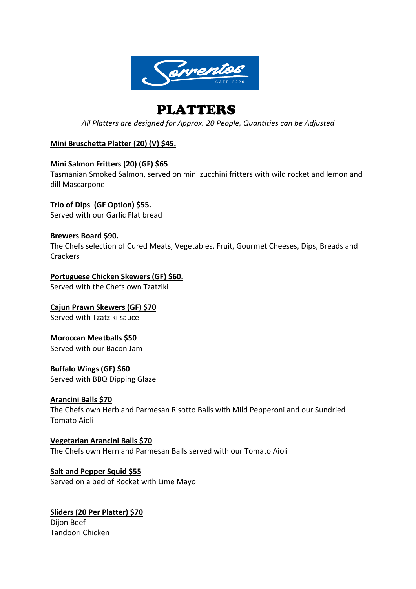

# PLATTERS

*All Platters are designed for Approx. 20 People, Quantities can be Adjusted*

# **Mini Bruschetta Platter (20) (V) \$45.**

# **Mini Salmon Fritters (20) (GF) \$65**

Tasmanian Smoked Salmon, served on mini zucchini fritters with wild rocket and lemon and dill Mascarpone

**Trio of Dips (GF Option) \$55.** Served with our Garlic Flat bread

# **Brewers Board \$90.**

The Chefs selection of Cured Meats, Vegetables, Fruit, Gourmet Cheeses, Dips, Breads and **Crackers** 

# **Portuguese Chicken Skewers (GF) \$60.**

Served with the Chefs own Tzatziki

**Cajun Prawn Skewers (GF) \$70** Served with Tzatziki sauce

# **Moroccan Meatballs \$50**

Served with our Bacon Jam

**Buffalo Wings (GF) \$60** Served with BBQ Dipping Glaze

# **Arancini Balls \$70**

The Chefs own Herb and Parmesan Risotto Balls with Mild Pepperoni and our Sundried Tomato Aioli

**Vegetarian Arancini Balls \$70** The Chefs own Hern and Parmesan Balls served with our Tomato Aioli

**Salt and Pepper Squid \$55** Served on a bed of Rocket with Lime Mayo

**Sliders (20 Per Platter) \$70** Dijon Beef

Tandoori Chicken